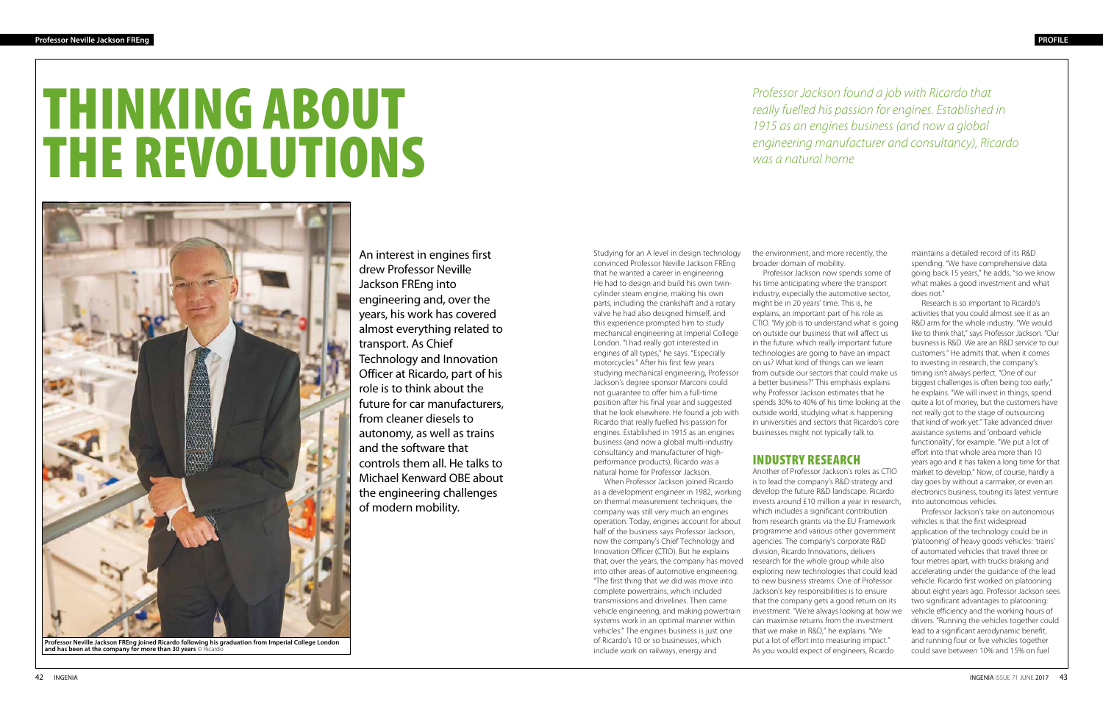# THINKING ABOUT THE REVOLUTIONS

An interest in engines first drew Professor Neville Jackson FREng into engineering and, over the years, his work has covered almost everything related to transport. As Chief Technology and Innovation Officer at Ricardo, part of his role is to think about the future for car manufacturers, from cleaner diesels to autonomy, as well as trains and the software that controls them all. He talks to Michael Kenward OBE about the engineering challenges of modern mobility.

Studying for an A level in design technology convinced Professor Neville Jackson FREng that he wanted a career in engineering. He had to design and build his own twincylinder steam engine, making his own parts, including the crankshaft and a rotary valve he had also designed himself, and this experience prompted him to study mechanical engineering at Imperial College London. "I had really got interested in engines of all types," he says. "Especially motorcycles." After his first few years studying mechanical engineering, Professor Jackson's degree sponsor Marconi could not guarantee to offer him a full-time position after his final year and suggested that he look elsewhere. He found a job with Ricardo that really fuelled his passion for engines. Established in 1915 as an engines business (and now a global multi-industry consultancy and manufacturer of highperformance products), Ricardo was a natural home for Professor Jackson.

When Professor Jackson joined Ricardo as a development engineer in 1982, working on thermal measurement techniques, the company was still very much an engines operation. Today, engines account for about half of the business says Professor Jackson, now the company's Chief Technology and Innovation Officer (CTIO). But he explains that, over the years, the company has moved into other areas of automotive engineering. "The first thing that we did was move into complete powertrains, which included transmissions and drivelines. Then came vehicle engineering, and making powertrain systems work in an optimal manner within vehicles." The engines business is just one of Ricardo's 10 or so businesses, which include work on railways, energy and

the environment, and more recently, the broader domain of mobility.

Professor Jackson now spends some of his time anticipating where the transport industry, especially the automotive sector, might be in 20 years' time. This is, he explains, an important part of his role as CTIO. "My job is to understand what is going on outside our business that will affect us in the future: which really important future technologies are going to have an impact on us? What kind of things can we learn from outside our sectors that could make us a better business?" This emphasis explains why Professor Jackson estimates that he spends 30% to 40% of his time looking at the outside world, studying what is happening in universities and sectors that Ricardo's core businesses might not typically talk to.



**Professor Neville Jackson FREng joined Ricardo following his graduation from Imperial College London**  and has been at the company for more than 30 years © Ricardo

#### INDUSTRY RESEARCH

Another of Professor Jackson's roles as CTIO is to lead the company's R&D strategy and develop the future R&D landscape. Ricardo invests around £10 million a year in research, which includes a significant contribution from research grants via the EU Framework programme and various other government agencies. The company's corporate R&D division, Ricardo Innovations, delivers research for the whole group while also exploring new technologies that could lead to new business streams. One of Professor Jackson's key responsibilities is to ensure that the company gets a good return on its investment. "We're always looking at how we can maximise returns from the investment that we make in R&D," he explains. "We put a lot of effort into measuring impact." As you would expect of engineers, Ricardo

maintains a detailed record of its R&D spending. "We have comprehensive data going back 15 years," he adds, "so we know what makes a good investment and what does not."

Research is so important to Ricardo's activities that you could almost see it as an R&D arm for the whole industry. "We would like to think that," says Professor Jackson. "Our business is R&D. We are an R&D service to our customers." He admits that, when it comes to investing in research, the company's timing isn't always perfect. "One of our biggest challenges is often being too early," he explains. "We will invest in things, spend quite a lot of money, but the customers have not really got to the stage of outsourcing that kind of work yet." Take advanced driver assistance systems and 'onboard vehicle functionality', for example. "We put a lot of effort into that whole area more than 10 years ago and it has taken a long time for that market to develop." Now, of course, hardly a day goes by without a carmaker, or even an electronics business, touting its latest venture into autonomous vehicles.

Professor Jackson's take on autonomous vehicles is that the first widespread application of the technology could be in 'platooning' of heavy goods vehicles: 'trains' of automated vehicles that travel three or four metres apart, with trucks braking and accelerating under the guidance of the lead vehicle. Ricardo first worked on platooning about eight years ago. Professor Jackson sees two significant advantages to platooning: vehicle efficiency and the working hours of drivers. "Running the vehicles together could lead to a significant aerodynamic benefit, and running four or five vehicles together could save between 10% and 15% on fuel

*Professor Jackson found a job with Ricardo that really fuelled his passion for engines. Established in 1915 as an engines business (and now a global engineering manufacturer and consultancy), Ricardo was a natural home*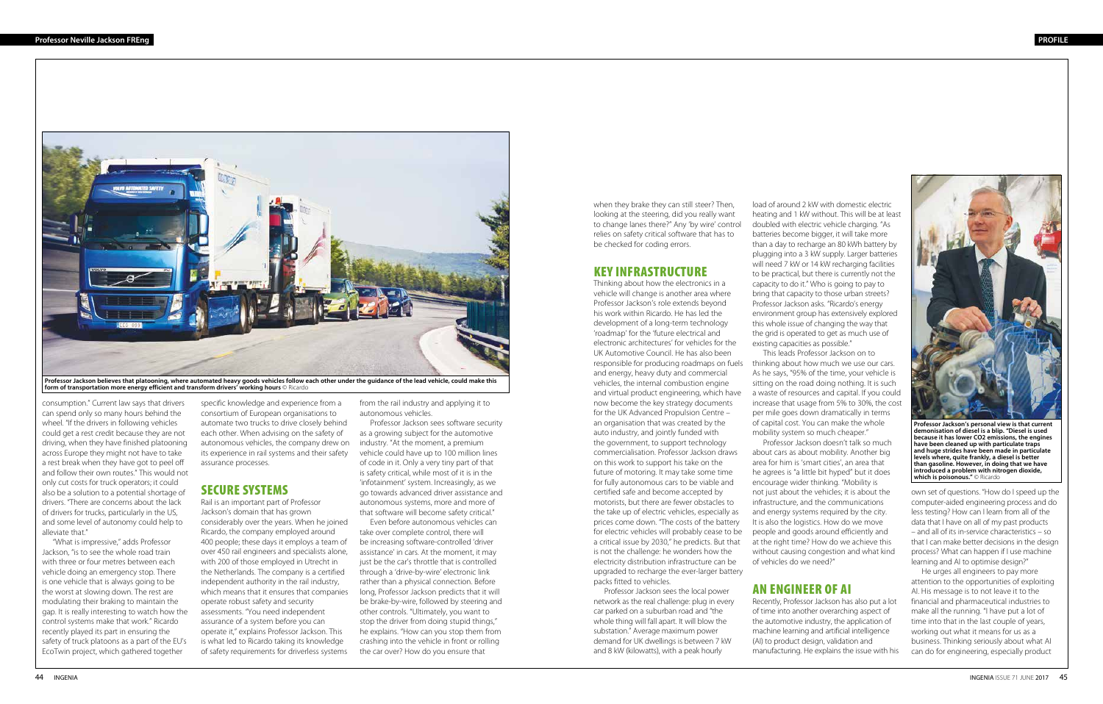when they brake they can still steer? Then, looking at the steering, did you really want to change lanes there?" Any 'by wire' control relies on safety critical software that has to be checked for coding errors.

#### KEY INFRASTRUCTURE

Thinking about how the electronics in a vehicle will change is another area where Professor Jackson's role extends beyond his work within Ricardo. He has led the development of a long-term technology 'roadmap' for the 'future electrical and electronic architectures' for vehicles for the UK Automotive Council. He has also been responsible for producing roadmaps on fuels and energy, heavy duty and commercial vehicles, the internal combustion engine and virtual product engineering, which have now become the key strategy documents for the UK Advanced Propulsion Centre – an organisation that was created by the auto industry, and jointly funded with the government, to support technology commercialisation. Professor Jackson draws on this work to support his take on the future of motoring. It may take some time for fully autonomous cars to be viable and certified safe and become accepted by motorists, but there are fewer obstacles to the take up of electric vehicles, especially as prices come down. "The costs of the battery for electric vehicles will probably cease to be a critical issue by 2030," he predicts. But that is not the challenge: he wonders how the electricity distribution infrastructure can be upgraded to recharge the ever-larger battery packs fitted to vehicles.

Professor Jackson sees the local power network as the real challenge: plug in every car parked on a suburban road and "the whole thing will fall apart. It will blow the substation." Average maximum power demand for UK dwellings is between 7 kW and 8 kW (kilowatts), with a peak hourly

own set of questions. "How do I speed up the computer-aided engineering process and do less testing? How can I learn from all of the data that I have on all of my past products – and all of its in-service characteristics – so that I can make better decisions in the design process? What can happen if I use machine learning and AI to optimise design?"

He urges all engineers to pay more attention to the opportunities of exploiting AI. His message is to not leave it to the financial and pharmaceutical industries to make all the running. "I have put a lot of time into that in the last couple of years, working out what it means for us as a business. Thinking seriously about what AI can do for engineering, especially product

load of around 2 kW with domestic electric heating and 1 kW without. This will be at least doubled with electric vehicle charging. "As batteries become bigger, it will take more than a day to recharge an 80 kWh battery by plugging into a 3 kW supply. Larger batteries will need 7 kW or 14 kW recharging facilities to be practical, but there is currently not the capacity to do it." Who is going to pay to bring that capacity to those urban streets? Professor Jackson asks. "Ricardo's energy environment group has extensively explored this whole issue of changing the way that the grid is operated to get as much use of existing capacities as possible."

This leads Professor Jackson on to thinking about how much we use our cars. As he says, "95% of the time, your vehicle is sitting on the road doing nothing. It is such a waste of resources and capital. If you could increase that usage from 5% to 30%, the cost per mile goes down dramatically in terms of capital cost. You can make the whole mobility system so much cheaper."

Professor Jackson doesn't talk so much about cars as about mobility. Another big area for him is 'smart cities', an area that he agrees is "a little bit hyped" but it does encourage wider thinking. "Mobility is not just about the vehicles; it is about the infrastructure, and the communications and energy systems required by the city. It is also the logistics. How do we move people and goods around efficiently and at the right time? How do we achieve this without causing congestion and what kind of vehicles do we need?"

## AN ENGINEER OF AI

Recently, Professor Jackson has also put a lot of time into another overarching aspect of the automotive industry, the application of machine learning and artificial intelligence (AI) to product design, validation and manufacturing. He explains the issue with his

consumption." Current law says that drivers can spend only so many hours behind the wheel. "If the drivers in following vehicles could get a rest credit because they are not driving, when they have finished platooning across Europe they might not have to take a rest break when they have got to peel off and follow their own routes." This would not only cut costs for truck operators; it could also be a solution to a potential shortage of drivers. "There are concerns about the lack of drivers for trucks, particularly in the US, and some level of autonomy could help to alleviate that."

"What is impressive," adds Professor Jackson, "is to see the whole road train with three or four metres between each vehicle doing an emergency stop. There is one vehicle that is always going to be the worst at slowing down. The rest are modulating their braking to maintain the gap. It is really interesting to watch how the control systems make that work." Ricardo recently played its part in ensuring the safety of truck platoons as a part of the EU's EcoTwin project, which gathered together

specific knowledge and experience from a consortium of European organisations to automate two trucks to drive closely behind each other. When advising on the safety of autonomous vehicles, the company drew on its experience in rail systems and their safety assurance processes.

#### SECURE SYSTEMS

Rail is an important part of Professor Jackson's domain that has grown considerably over the years. When he joined Ricardo, the company employed around 400 people; these days it employs a team of over 450 rail engineers and specialists alone, with 200 of those employed in Utrecht in the Netherlands. The company is a certified independent authority in the rail industry, which means that it ensures that companies operate robust safety and security assessments. "You need independent assurance of a system before you can operate it," explains Professor Jackson. This is what led to Ricardo taking its knowledge of safety requirements for driverless systems from the rail industry and applying it to autonomous vehicles.

Professor Jackson sees software security as a growing subject for the automotive industry. "At the moment, a premium vehicle could have up to 100 million lines of code in it. Only a very tiny part of that is safety critical, while most of it is in the 'infotainment' system. Increasingly, as we go towards advanced driver assistance and autonomous systems, more and more of that software will become safety critical."

Even before autonomous vehicles can take over complete control, there will be increasing software-controlled 'driver assistance' in cars. At the moment, it may just be the car's throttle that is controlled through a 'drive-by-wire' electronic link rather than a physical connection. Before long, Professor Jackson predicts that it will be brake-by-wire, followed by steering and other controls. "Ultimately, you want to stop the driver from doing stupid things," he explains. "How can you stop them from crashing into the vehicle in front or rolling the car over? How do you ensure that



**Professor Jackson believes that platooning, where automated heavy goods vehicles follow each other under the guidance of the lead vehicle, could make this form of transportation more energy efficient and transform drivers' working hours** © Ricardo



**Professor Jackson's personal view is that current demonisation of diesel is a blip. "Diesel is used because it has lower CO2 emissions, the engines have been cleaned up with particulate traps and huge strides have been made in particulate levels where, quite frankly, a diesel is better than gasoline. However, in doing that we have introduced a problem with nitrogen dioxide, which is poisonous."** © Ricardo